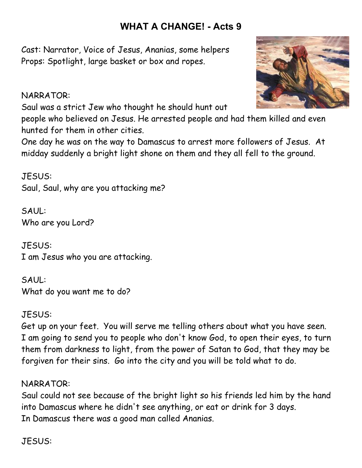# **WHAT A CHANGE! - Acts 9**

Cast: Narrator, Voice of Jesus, Ananias, some helpers Props: Spotlight, large basket or box and ropes.

## NARRATOR:

Saul was a strict Jew who thought he should hunt out

people who believed on Jesus. He arrested people and had them killed and even hunted for them in other cities.

One day he was on the way to Damascus to arrest more followers of Jesus. At midday suddenly a bright light shone on them and they all fell to the ground.

JESUS: Saul, Saul, why are you attacking me?

SAUL: Who are you Lord?

JESUS: I am Jesus who you are attacking.

SAUL: What do you want me to do?

# JESUS:

Get up on your feet. You will serve me telling others about what you have seen. I am going to send you to people who don't know God, to open their eyes, to turn them from darkness to light, from the power of Satan to God, that they may be forgiven for their sins. Go into the city and you will be told what to do.

## NARRATOR:

Saul could not see because of the bright light so his friends led him by the hand into Damascus where he didn't see anything, or eat or drink for 3 days. In Damascus there was a good man called Ananias.

JESUS: